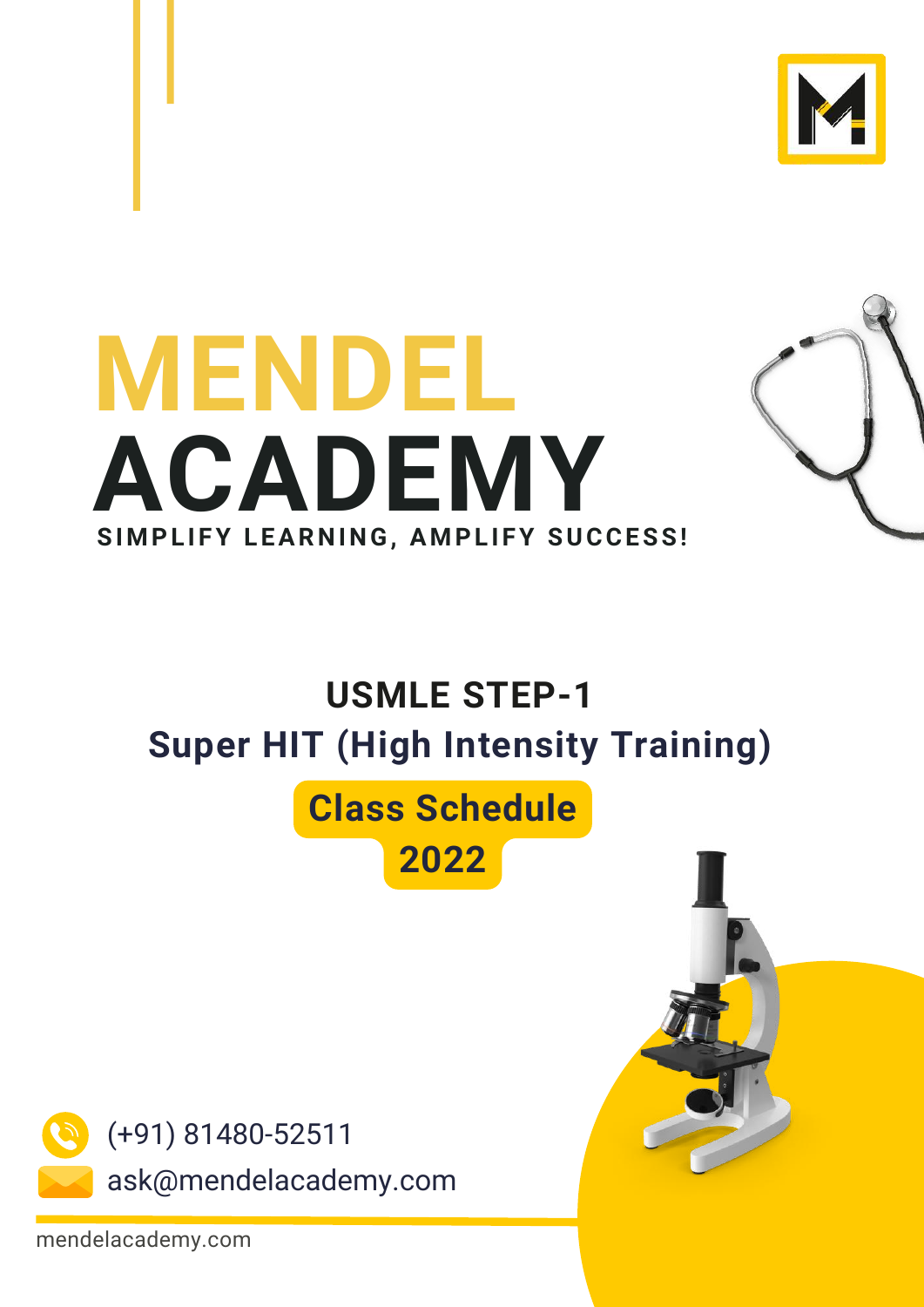



#### **USMLE STEP-1 Super HIT (High Intensity Training)**

#### **Class Schedule**





mendelacademy.com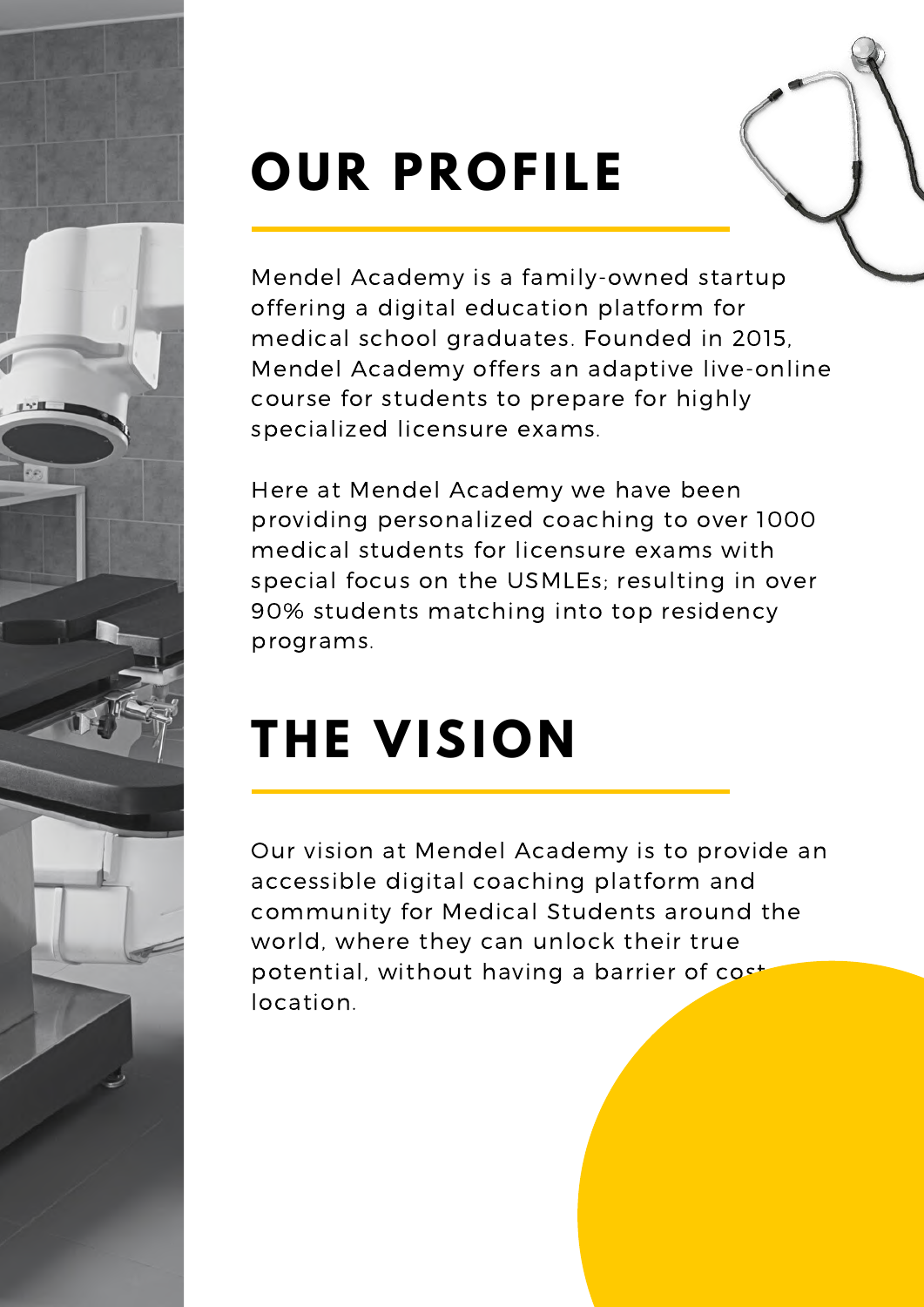

## **OUR PROFILE**

Mendel Academy is a family-owned startup offering a digital education platform for medical school graduates. Founded in 2015, Mendel Academy offers an adaptive [live-online](https://mendelacademy.com/live-class) course for students to prepare for highly specialized licensure exams.

Here at Mendel Academy we have been providing personalized coaching to over 1000 medical students for licensure exams with special focus on the USMLEs; resulting in over 90% students matching into top residency programs.

## **THE VISION**

Our vision at Mendel Academy is to provide an accessible digital coaching platform and community for Medical Students around the world, where they can unlock their true potential, without having a barrier of cost location.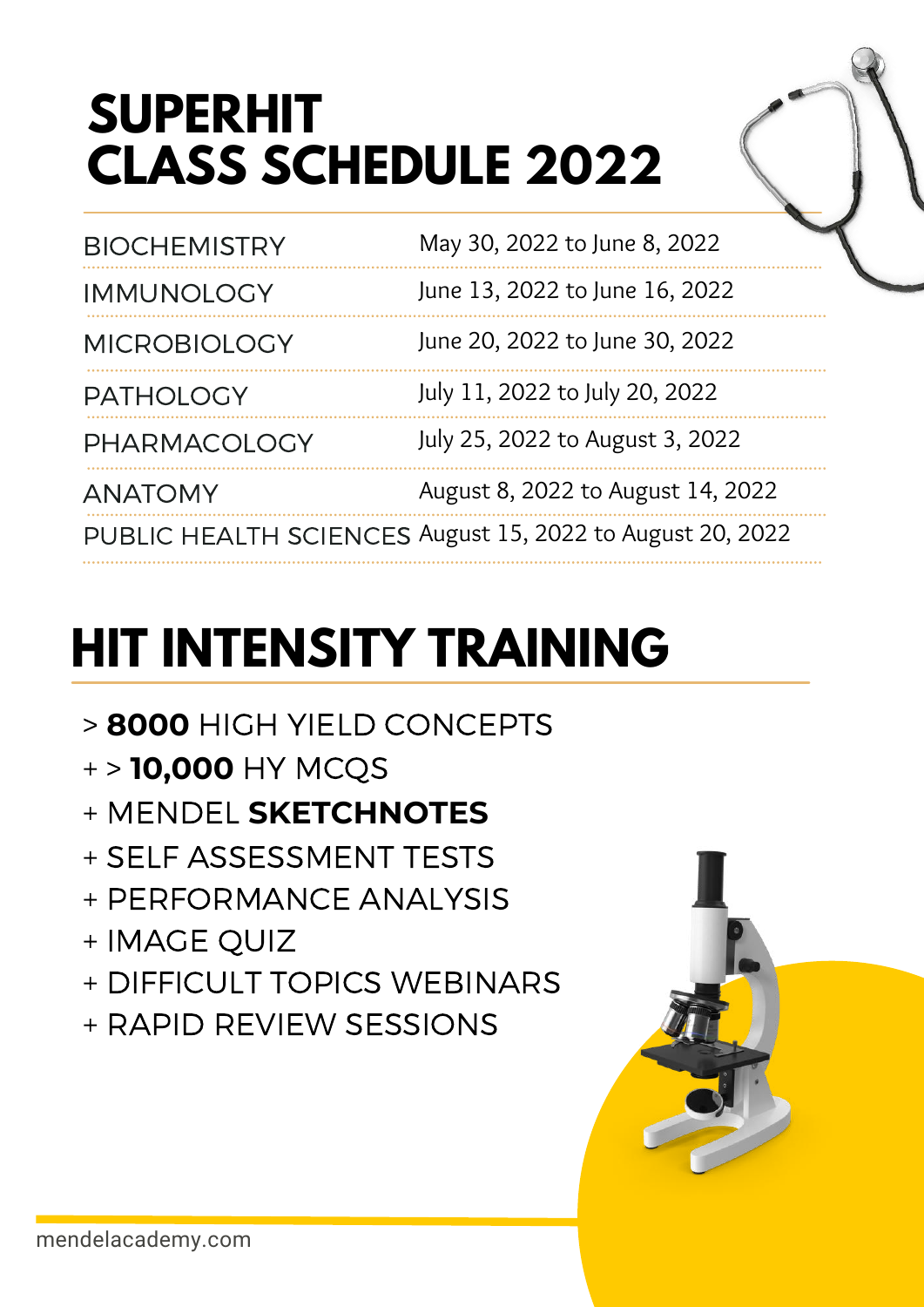### **SUPERHIT CLASS SCHEDULE 2022**

| <b>BIOCHEMISTRY</b> | May 30, 2022 to June 8, 2022                              |
|---------------------|-----------------------------------------------------------|
| <b>IMMUNOLOGY</b>   | June 13, 2022 to June 16, 2022                            |
| <b>MICROBIOLOGY</b> | June 20, 2022 to June 30, 2022                            |
| <b>PATHOLOGY</b>    | July 11, 2022 to July 20, 2022                            |
| PHARMACOLOGY        | July 25, 2022 to August 3, 2022                           |
| <b>ANATOMY</b>      | August 8, 2022 to August 14, 2022                         |
|                     | PUBLIC HEALTH SCIENCES August 15, 2022 to August 20, 2022 |

# **HIT INTENSITY TRAINING**

- > **8000** HIGH YIELD CONCEPTS
- + > **10,000** HY MCQS
- + MENDEL **SKETCHNOTES**
- + SELF ASSESSMENT TESTS
- + PERFORMANCE ANALYSIS
- + IMAGE QUIZ
- + DIFFICULT TOPICS WEBINARS
- + RAPID REVIEW SESSIONS